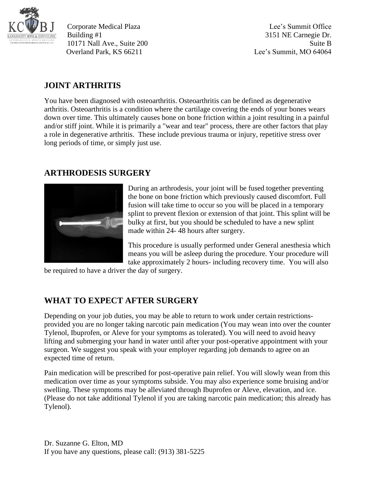

Corporate Medical Plaza Lee's Summit Office Building #1 3151 NE Carnegie Dr. 10171 Nall Ave., Suite 200 Suite B Overland Park, KS 66211 Lee's Summit, MO 64064

## **JOINT ARTHRITIS**

You have been diagnosed with osteoarthritis. Osteoarthritis can be defined as degenerative arthritis. Osteoarthritis is a condition where the cartilage covering the ends of your bones wears down over time. This ultimately causes bone on bone friction within a joint resulting in a painful and/or stiff joint. While it is primarily a "wear and tear" process, there are other factors that play a role in degenerative arthritis. These include previous trauma or injury, repetitive stress over long periods of time, or simply just use.

## **ARTHRODESIS SURGERY**



During an arthrodesis, your joint will be fused together preventing the bone on bone friction which previously caused discomfort. Full fusion will take time to occur so you will be placed in a temporary splint to prevent flexion or extension of that joint. This splint will be bulky at first, but you should be scheduled to have a new splint made within 24- 48 hours after surgery.

This procedure is usually performed under General anesthesia which means you will be asleep during the procedure. Your procedure will take approximately 2 hours- including recovery time. You will also

be required to have a driver the day of surgery.

## **WHAT TO EXPECT AFTER SURGERY**

Depending on your job duties, you may be able to return to work under certain restrictionsprovided you are no longer taking narcotic pain medication (You may wean into over the counter Tylenol, Ibuprofen, or Aleve for your symptoms as tolerated). You will need to avoid heavy lifting and submerging your hand in water until after your post-operative appointment with your surgeon. We suggest you speak with your employer regarding job demands to agree on an expected time of return.

Pain medication will be prescribed for post-operative pain relief. You will slowly wean from this medication over time as your symptoms subside. You may also experience some bruising and/or swelling. These symptoms may be alleviated through Ibuprofen or Aleve, elevation, and ice. (Please do not take additional Tylenol if you are taking narcotic pain medication; this already has Tylenol).